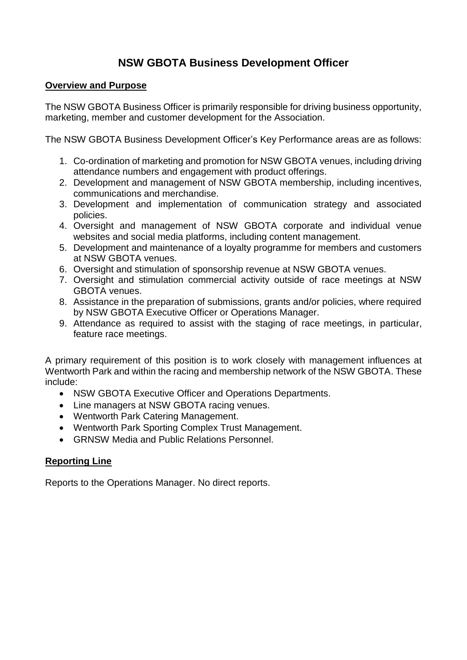# **NSW GBOTA Business Development Officer**

#### **Overview and Purpose**

The NSW GBOTA Business Officer is primarily responsible for driving business opportunity, marketing, member and customer development for the Association.

The NSW GBOTA Business Development Officer's Key Performance areas are as follows:

- 1. Co-ordination of marketing and promotion for NSW GBOTA venues, including driving attendance numbers and engagement with product offerings.
- 2. Development and management of NSW GBOTA membership, including incentives, communications and merchandise.
- 3. Development and implementation of communication strategy and associated policies.
- 4. Oversight and management of NSW GBOTA corporate and individual venue websites and social media platforms, including content management.
- 5. Development and maintenance of a loyalty programme for members and customers at NSW GBOTA venues.
- 6. Oversight and stimulation of sponsorship revenue at NSW GBOTA venues.
- 7. Oversight and stimulation commercial activity outside of race meetings at NSW GBOTA venues.
- 8. Assistance in the preparation of submissions, grants and/or policies, where required by NSW GBOTA Executive Officer or Operations Manager.
- 9. Attendance as required to assist with the staging of race meetings, in particular, feature race meetings.

A primary requirement of this position is to work closely with management influences at Wentworth Park and within the racing and membership network of the NSW GBOTA. These include:

- NSW GBOTA Executive Officer and Operations Departments.
- Line managers at NSW GBOTA racing venues.
- Wentworth Park Catering Management.
- Wentworth Park Sporting Complex Trust Management.
- GRNSW Media and Public Relations Personnel.

### **Reporting Line**

Reports to the Operations Manager. No direct reports.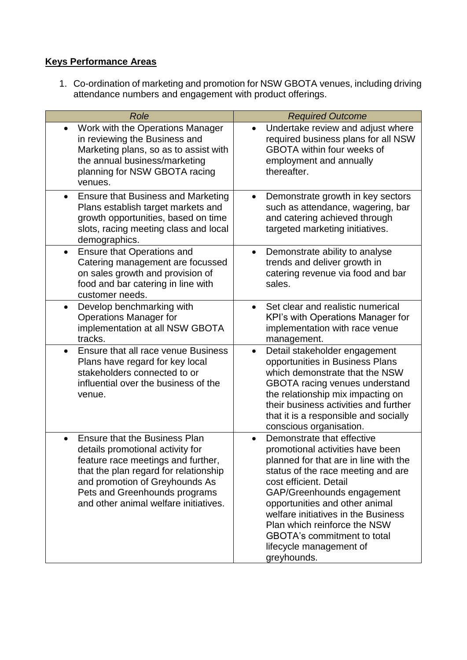## **Keys Performance Areas**

1. Co-ordination of marketing and promotion for NSW GBOTA venues, including driving attendance numbers and engagement with product offerings.

| Role                                                                                                                                                                                                                                                                             | <b>Required Outcome</b>                                                                                                                                                                                                                                                                                                                                                                                     |
|----------------------------------------------------------------------------------------------------------------------------------------------------------------------------------------------------------------------------------------------------------------------------------|-------------------------------------------------------------------------------------------------------------------------------------------------------------------------------------------------------------------------------------------------------------------------------------------------------------------------------------------------------------------------------------------------------------|
| Work with the Operations Manager<br>$\bullet$<br>in reviewing the Business and<br>Marketing plans, so as to assist with<br>the annual business/marketing<br>planning for NSW GBOTA racing<br>venues.                                                                             | Undertake review and adjust where<br>$\bullet$<br>required business plans for all NSW<br><b>GBOTA</b> within four weeks of<br>employment and annually<br>thereafter.                                                                                                                                                                                                                                        |
| <b>Ensure that Business and Marketing</b><br>$\bullet$<br>Plans establish target markets and<br>growth opportunities, based on time<br>slots, racing meeting class and local<br>demographics.                                                                                    | Demonstrate growth in key sectors<br>$\bullet$<br>such as attendance, wagering, bar<br>and catering achieved through<br>targeted marketing initiatives.                                                                                                                                                                                                                                                     |
| <b>Ensure that Operations and</b><br>$\bullet$<br>Catering management are focussed<br>on sales growth and provision of<br>food and bar catering in line with<br>customer needs.                                                                                                  | Demonstrate ability to analyse<br>$\bullet$<br>trends and deliver growth in<br>catering revenue via food and bar<br>sales.                                                                                                                                                                                                                                                                                  |
| Develop benchmarking with<br>$\bullet$<br><b>Operations Manager for</b><br>implementation at all NSW GBOTA<br>tracks.                                                                                                                                                            | Set clear and realistic numerical<br>$\bullet$<br>KPI's with Operations Manager for<br>implementation with race venue<br>management.                                                                                                                                                                                                                                                                        |
| Ensure that all race venue Business<br>Plans have regard for key local<br>stakeholders connected to or<br>influential over the business of the<br>venue.                                                                                                                         | Detail stakeholder engagement<br>opportunities in Business Plans<br>which demonstrate that the NSW<br><b>GBOTA</b> racing venues understand<br>the relationship mix impacting on<br>their business activities and further<br>that it is a responsible and socially<br>conscious organisation.                                                                                                               |
| <b>Ensure that the Business Plan</b><br>$\bullet$<br>details promotional activity for<br>feature race meetings and further,<br>that the plan regard for relationship<br>and promotion of Greyhounds As<br>Pets and Greenhounds programs<br>and other animal welfare initiatives. | Demonstrate that effective<br>$\bullet$<br>promotional activities have been<br>planned for that are in line with the<br>status of the race meeting and are<br>cost efficient. Detail<br>GAP/Greenhounds engagement<br>opportunities and other animal<br>welfare initiatives in the Business<br>Plan which reinforce the NSW<br><b>GBOTA's commitment to total</b><br>lifecycle management of<br>greyhounds. |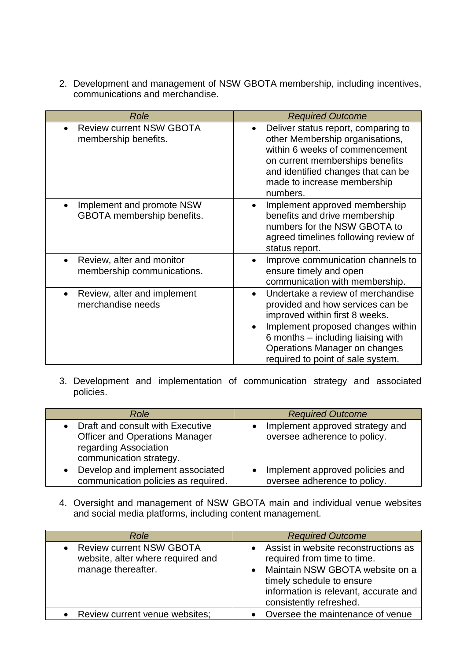2. Development and management of NSW GBOTA membership, including incentives, communications and merchandise.

| Role                                                    | <b>Required Outcome</b>                                                                                                                                                                                                                                  |
|---------------------------------------------------------|----------------------------------------------------------------------------------------------------------------------------------------------------------------------------------------------------------------------------------------------------------|
| <b>Review current NSW GBOTA</b><br>membership benefits. | Deliver status report, comparing to<br>other Membership organisations,<br>within 6 weeks of commencement<br>on current memberships benefits<br>and identified changes that can be<br>made to increase membership<br>numbers.                             |
| Implement and promote NSW<br>GBOTA membership benefits. | Implement approved membership<br>$\bullet$<br>benefits and drive membership<br>numbers for the NSW GBOTA to<br>agreed timelines following review of<br>status report.                                                                                    |
| Review, alter and monitor<br>membership communications. | Improve communication channels to<br>ensure timely and open<br>communication with membership.                                                                                                                                                            |
| Review, alter and implement<br>merchandise needs        | Undertake a review of merchandise<br>provided and how services can be<br>improved within first 8 weeks.<br>Implement proposed changes within<br>6 months – including liaising with<br>Operations Manager on changes<br>required to point of sale system. |

3. Development and implementation of communication strategy and associated policies.

| Role                                                                                                                          | <b>Required Outcome</b>                                         |
|-------------------------------------------------------------------------------------------------------------------------------|-----------------------------------------------------------------|
| Draft and consult with Executive<br><b>Officer and Operations Manager</b><br>regarding Association<br>communication strategy. | Implement approved strategy and<br>oversee adherence to policy. |
| Develop and implement associated<br>communication policies as required.                                                       | Implement approved policies and<br>oversee adherence to policy. |

4. Oversight and management of NSW GBOTA main and individual venue websites and social media platforms, including content management.

| Role                                                                                       | <b>Required Outcome</b>                                                                                                                                                                                 |
|--------------------------------------------------------------------------------------------|---------------------------------------------------------------------------------------------------------------------------------------------------------------------------------------------------------|
| <b>Review current NSW GBOTA</b><br>website, alter where required and<br>manage thereafter. | Assist in website reconstructions as<br>required from time to time.<br>Maintain NSW GBOTA website on a<br>timely schedule to ensure<br>information is relevant, accurate and<br>consistently refreshed. |
| Review current venue websites;                                                             | Oversee the maintenance of venue                                                                                                                                                                        |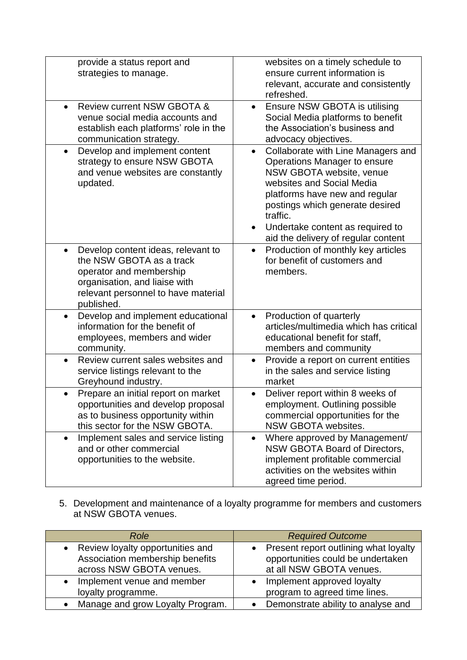| provide a status report and<br>strategies to manage.                                                                                                                                         | websites on a timely schedule to<br>ensure current information is<br>relevant, accurate and consistently<br>refreshed.                                                                                                                                                                                            |
|----------------------------------------------------------------------------------------------------------------------------------------------------------------------------------------------|-------------------------------------------------------------------------------------------------------------------------------------------------------------------------------------------------------------------------------------------------------------------------------------------------------------------|
| Review current NSW GBOTA &<br>$\bullet$<br>venue social media accounts and<br>establish each platforms' role in the<br>communication strategy.                                               | Ensure NSW GBOTA is utilising<br>$\bullet$<br>Social Media platforms to benefit<br>the Association's business and<br>advocacy objectives.                                                                                                                                                                         |
| Develop and implement content<br>$\bullet$<br>strategy to ensure NSW GBOTA<br>and venue websites are constantly<br>updated.                                                                  | Collaborate with Line Managers and<br>$\bullet$<br>Operations Manager to ensure<br>NSW GBOTA website, venue<br>websites and Social Media<br>platforms have new and regular<br>postings which generate desired<br>traffic.<br>Undertake content as required to<br>$\bullet$<br>aid the delivery of regular content |
| Develop content ideas, relevant to<br>$\bullet$<br>the NSW GBOTA as a track<br>operator and membership<br>organisation, and liaise with<br>relevant personnel to have material<br>published. | Production of monthly key articles<br>$\bullet$<br>for benefit of customers and<br>members.                                                                                                                                                                                                                       |
| Develop and implement educational<br>$\bullet$<br>information for the benefit of<br>employees, members and wider<br>community.                                                               | Production of quarterly<br>$\bullet$<br>articles/multimedia which has critical<br>educational benefit for staff,<br>members and community                                                                                                                                                                         |
| Review current sales websites and<br>service listings relevant to the<br>Greyhound industry.                                                                                                 | Provide a report on current entities<br>$\bullet$<br>in the sales and service listing<br>market                                                                                                                                                                                                                   |
| Prepare an initial report on market<br>opportunities and develop proposal<br>as to business opportunity within<br>this sector for the NSW GBOTA.                                             | Deliver report within 8 weeks of<br>employment. Outlining possible<br>commercial opportunities for the<br>NSW GBOTA websites.                                                                                                                                                                                     |
| Implement sales and service listing<br>$\bullet$<br>and or other commercial<br>opportunities to the website.                                                                                 | Where approved by Management/<br>$\bullet$<br>NSW GBOTA Board of Directors,<br>implement profitable commercial<br>activities on the websites within<br>agreed time period.                                                                                                                                        |

5. Development and maintenance of a loyalty programme for members and customers at NSW GBOTA venues.

| Role                             | <b>Required Outcome</b>                         |
|----------------------------------|-------------------------------------------------|
| Review loyalty opportunities and | • Present report outlining what loyalty         |
| Association membership benefits  | opportunities could be undertaken               |
| across NSW GBOTA venues.         | at all NSW GBOTA venues.                        |
| Implement venue and member       | Implement approved loyalty                      |
| loyalty programme.               | program to agreed time lines.                   |
| Manage and grow Loyalty Program. | Demonstrate ability to analyse and<br>$\bullet$ |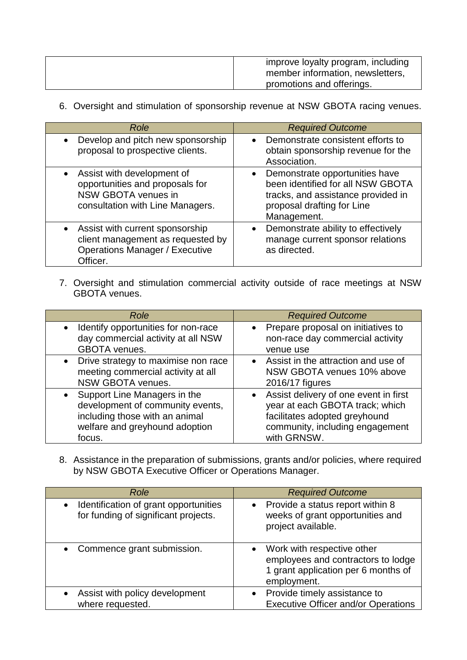| improve loyalty program, including<br>member information, newsletters, |
|------------------------------------------------------------------------|
| promotions and offerings.                                              |

6. Oversight and stimulation of sponsorship revenue at NSW GBOTA racing venues.

| Role                                                                                                                      | <b>Required Outcome</b>                                                                                                                                             |
|---------------------------------------------------------------------------------------------------------------------------|---------------------------------------------------------------------------------------------------------------------------------------------------------------------|
| Develop and pitch new sponsorship<br>proposal to prospective clients.                                                     | • Demonstrate consistent efforts to<br>obtain sponsorship revenue for the<br>Association.                                                                           |
| Assist with development of<br>opportunities and proposals for<br>NSW GBOTA venues in<br>consultation with Line Managers.  | Demonstrate opportunities have<br>$\bullet$<br>been identified for all NSW GBOTA<br>tracks, and assistance provided in<br>proposal drafting for Line<br>Management. |
| Assist with current sponsorship<br>client management as requested by<br><b>Operations Manager / Executive</b><br>Officer. | Demonstrate ability to effectively<br>$\bullet$<br>manage current sponsor relations<br>as directed.                                                                 |

7. Oversight and stimulation commercial activity outside of race meetings at NSW GBOTA venues.

| Role                                                                                                           | <b>Required Outcome</b>                                                               |
|----------------------------------------------------------------------------------------------------------------|---------------------------------------------------------------------------------------|
| Identify opportunities for non-race<br>$\bullet$<br>day commercial activity at all NSW<br><b>GBOTA</b> venues. | • Prepare proposal on initiatives to<br>non-race day commercial activity<br>venue use |
| Drive strategy to maximise non race                                                                            | • Assist in the attraction and use of                                                 |
| meeting commercial activity at all                                                                             | NSW GBOTA venues 10% above                                                            |
| NSW GBOTA venues.                                                                                              | 2016/17 figures                                                                       |
| • Support Line Managers in the                                                                                 | • Assist delivery of one event in first                                               |
| development of community events,                                                                               | year at each GBOTA track; which                                                       |
| including those with an animal                                                                                 | facilitates adopted greyhound                                                         |
| welfare and greyhound adoption                                                                                 | community, including engagement                                                       |
| focus.                                                                                                         | with GRNSW.                                                                           |

8. Assistance in the preparation of submissions, grants and/or policies, where required by NSW GBOTA Executive Officer or Operations Manager.

| Role                                                                          | <b>Required Outcome</b>                                                                                                             |
|-------------------------------------------------------------------------------|-------------------------------------------------------------------------------------------------------------------------------------|
| Identification of grant opportunities<br>for funding of significant projects. | Provide a status report within 8<br>$\bullet$<br>weeks of grant opportunities and<br>project available.                             |
| Commence grant submission.                                                    | Work with respective other<br>$\bullet$<br>employees and contractors to lodge<br>1 grant application per 6 months of<br>employment. |
| Assist with policy development<br>where requested.                            | • Provide timely assistance to<br><b>Executive Officer and/or Operations</b>                                                        |